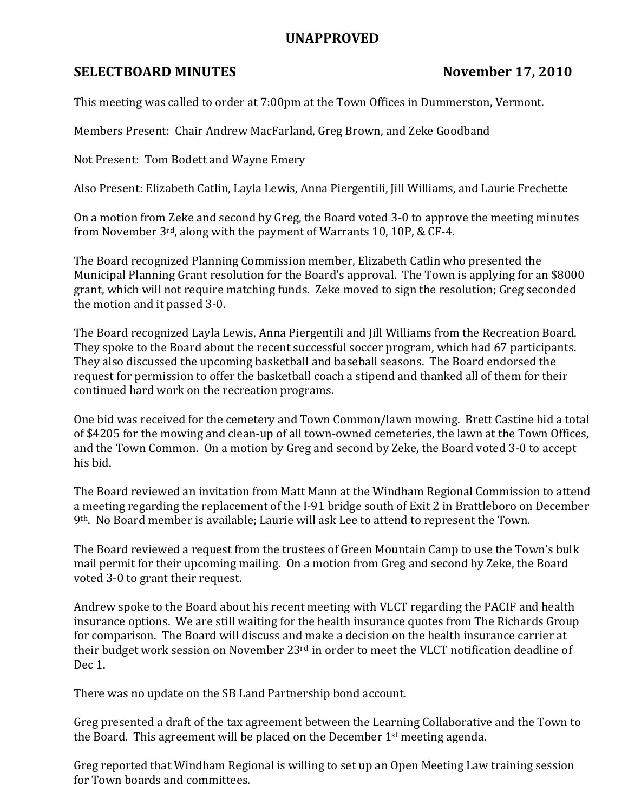## UNAPPROVED

## SELECTBOARD MINUTES November 17, 2010

This meeting was called to order at 7:00pm at the Town Offices in Dummerston, Vermont.

Members Present: Chair Andrew MacFarland, Greg Brown, and Zeke Goodband

Not Present: Tom Bodett and Wayne Emery

Also Present: Elizabeth Catlin, Layla Lewis, Anna Piergentili, Jill Williams, and Laurie Frechette

On a motion from Zeke and second by Greg, the Board voted 3-0 to approve the meeting minutes from November 3rd, along with the payment of Warrants 10, 10P, & CF-4.

The Board recognized Planning Commission member, Elizabeth Catlin who presented the Municipal Planning Grant resolution for the Board's approval. The Town is applying for an \$8000 grant, which will not require matching funds. Zeke moved to sign the resolution; Greg seconded the motion and it passed 3-0.

The Board recognized Layla Lewis, Anna Piergentili and Jill Williams from the Recreation Board. They spoke to the Board about the recent successful soccer program, which had 67 participants. They also discussed the upcoming basketball and baseball seasons. The Board endorsed the request for permission to offer the basketball coach a stipend and thanked all of them for their continued hard work on the recreation programs.

One bid was received for the cemetery and Town Common/lawn mowing. Brett Castine bid a total of \$4205 for the mowing and clean-up of all town-owned cemeteries, the lawn at the Town Offices, and the Town Common. On a motion by Greg and second by Zeke, the Board voted 3-0 to accept his bid.

The Board reviewed an invitation from Matt Mann at the Windham Regional Commission to attend a meeting regarding the replacement of the I-91 bridge south of Exit 2 in Brattleboro on December 9th. No Board member is available; Laurie will ask Lee to attend to represent the Town.

The Board reviewed a request from the trustees of Green Mountain Camp to use the Town's bulk mail permit for their upcoming mailing. On a motion from Greg and second by Zeke, the Board voted 3-0 to grant their request.

Andrew spoke to the Board about his recent meeting with VLCT regarding the PACIF and health insurance options. We are still waiting for the health insurance quotes from The Richards Group for comparison. The Board will discuss and make a decision on the health insurance carrier at their budget work session on November 23rd in order to meet the VLCT notification deadline of Dec 1.

There was no update on the SB Land Partnership bond account.

Greg presented a draft of the tax agreement between the Learning Collaborative and the Town to the Board. This agreement will be placed on the December 1st meeting agenda.

Greg reported that Windham Regional is willing to set up an Open Meeting Law training session for Town boards and committees.